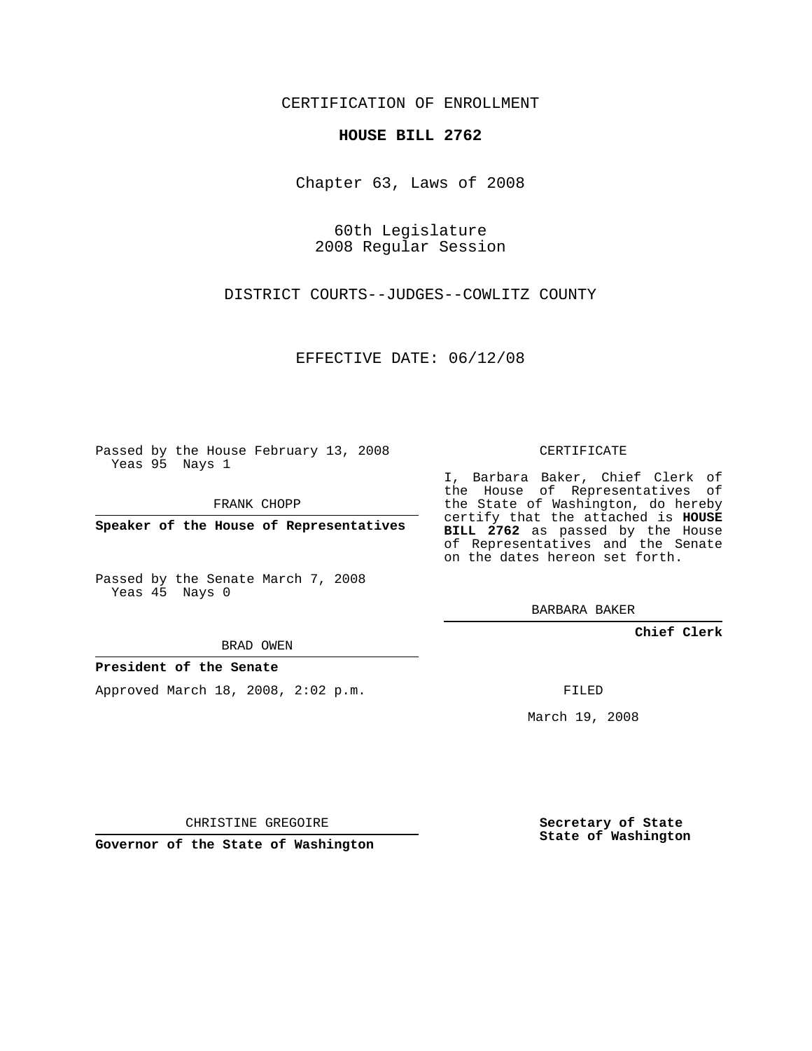CERTIFICATION OF ENROLLMENT

## **HOUSE BILL 2762**

Chapter 63, Laws of 2008

60th Legislature 2008 Regular Session

DISTRICT COURTS--JUDGES--COWLITZ COUNTY

EFFECTIVE DATE: 06/12/08

Passed by the House February 13, 2008 Yeas 95 Nays 1

FRANK CHOPP

**Speaker of the House of Representatives**

Passed by the Senate March 7, 2008 Yeas 45 Nays 0

BRAD OWEN

## **President of the Senate**

Approved March 18, 2008, 2:02 p.m.

CERTIFICATE

I, Barbara Baker, Chief Clerk of the House of Representatives of the State of Washington, do hereby certify that the attached is **HOUSE BILL 2762** as passed by the House of Representatives and the Senate on the dates hereon set forth.

BARBARA BAKER

**Chief Clerk**

FILED

March 19, 2008

CHRISTINE GREGOIRE

**Governor of the State of Washington**

**Secretary of State State of Washington**